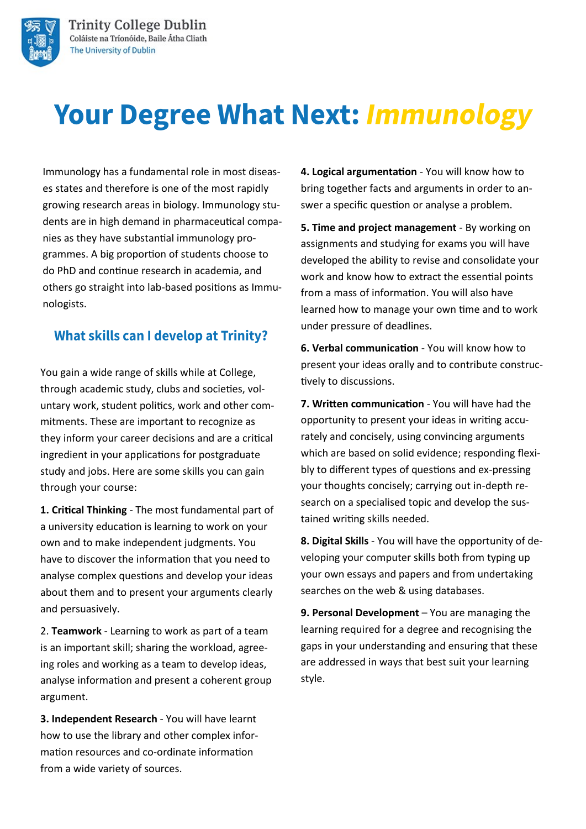

# **Your Degree What Next: Immunology**

Immunology has a fundamental role in most diseases states and therefore is one of the most rapidly growing research areas in biology. Immunology students are in high demand in pharmaceutical companies as they have substantial immunology programmes. A big proportion of students choose to do PhD and continue research in academia, and others go straight into lab-based positions as Immunologists.

## **What skills can I develop at Trinity?**

You gain a wide range of skills while at College, through academic study, clubs and societies, voluntary work, student politics, work and other commitments. These are important to recognize as they inform your career decisions and are a critical ingredient in your applications for postgraduate study and jobs. Here are some skills you can gain through your course:

**1. Critical Thinking** - The most fundamental part of a university education is learning to work on your own and to make independent judgments. You have to discover the information that you need to analyse complex questions and develop your ideas about them and to present your arguments clearly and persuasively.

2. **Teamwork** - Learning to work as part of a team is an important skill; sharing the workload, agreeing roles and working as a team to develop ideas, analyse information and present a coherent group argument.

**3. Independent Research** - You will have learnt how to use the library and other complex information resources and co-ordinate information from a wide variety of sources.

**4. Logical argumentation** - You will know how to bring together facts and arguments in order to answer a specific question or analyse a problem.

**5. Time and project management** - By working on assignments and studying for exams you will have developed the ability to revise and consolidate your work and know how to extract the essential points from a mass of information. You will also have learned how to manage your own time and to work under pressure of deadlines.

**6. Verbal communication** - You will know how to present your ideas orally and to contribute constructively to discussions.

**7. Written communication** - You will have had the opportunity to present your ideas in writing accurately and concisely, using convincing arguments which are based on solid evidence; responding flexibly to different types of questions and ex-pressing your thoughts concisely; carrying out in-depth research on a specialised topic and develop the sustained writing skills needed.

**8. Digital Skills** - You will have the opportunity of developing your computer skills both from typing up your own essays and papers and from undertaking searches on the web & using databases.

**9. Personal Development** – You are managing the learning required for a degree and recognising the gaps in your understanding and ensuring that these are addressed in ways that best suit your learning style.